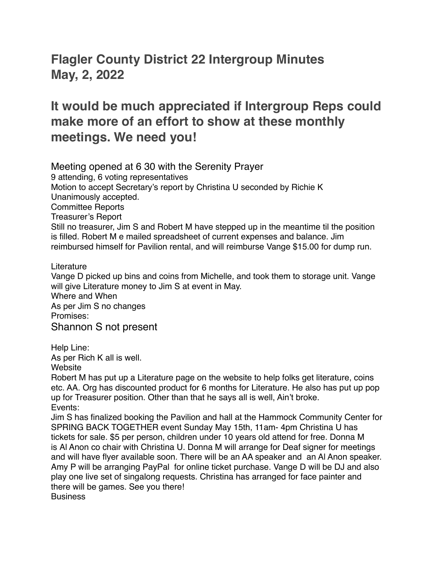## **Flagler County District 22 Intergroup Minutes May, 2, 2022**

## **It would be much appreciated if Intergroup Reps could make more of an effort to show at these monthly meetings. We need you!**

Meeting opened at 6 30 with the Serenity Prayer 9 attending, 6 voting representatives Motion to accept Secretary's report by Christina U seconded by Richie K Unanimously accepted. Committee Reports Treasurer's Report Still no treasurer, Jim S and Robert M have stepped up in the meantime til the position is filled. Robert M e mailed spreadsheet of current expenses and balance. Jim reimbursed himself for Pavilion rental, and will reimburse Vange \$15.00 for dump run.

Literature

Vange D picked up bins and coins from Michelle, and took them to storage unit. Vange will give Literature money to Jim S at event in May. Where and When

As per Jim S no changes Promises: Shannon S not present

Help Line:

As per Rich K all is well.

Website

Robert M has put up a Literature page on the website to help folks get literature, coins etc. AA. Org has discounted product for 6 months for Literature. He also has put up pop up for Treasurer position. Other than that he says all is well, Ain't broke. Events:

Jim S has finalized booking the Pavilion and hall at the Hammock Community Center for SPRING BACK TOGETHER event Sunday May 15th, 11am- 4pm Christina U has tickets for sale. \$5 per person, children under 10 years old attend for free. Donna M is Al Anon co chair with Christina U. Donna M will arrange for Deaf signer for meetings and will have flyer available soon. There will be an AA speaker and an Al Anon speaker. Amy P will be arranging PayPal for online ticket purchase. Vange D will be DJ and also play one live set of singalong requests. Christina has arranged for face painter and there will be games. See you there! **Business**